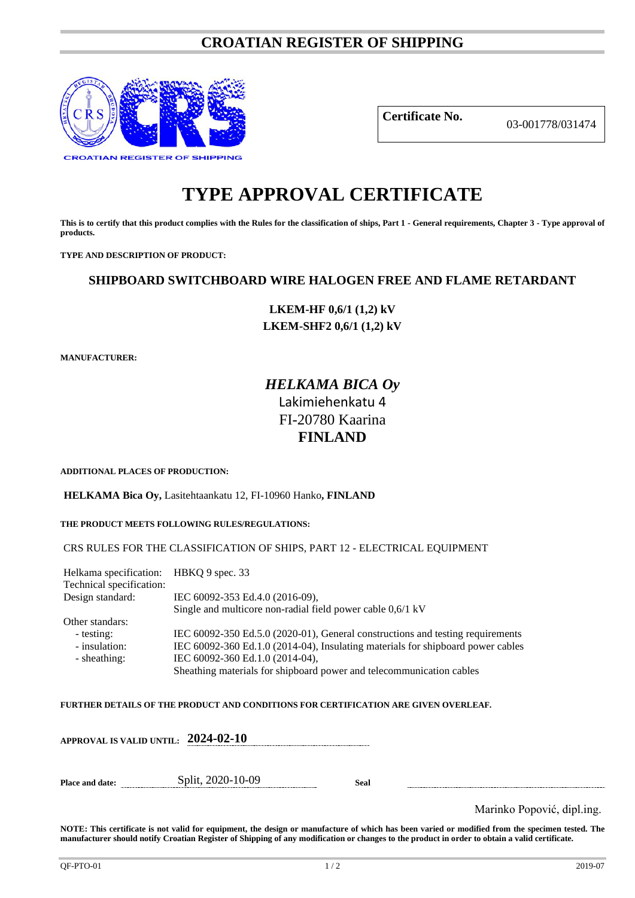# **CROATIAN REGISTER OF SHIPPING**



**Certificate No.** 03-001778/031474

# **TYPE APPROVAL CERTIFICATE**

**This is to certify that this product complies with the Rules for the classification of ships, Part 1 - General requirements, Chapter 3 - Type approval of products.**

**TYPE AND DESCRIPTION OF PRODUCT:** 

# **SHIPBOARD SWITCHBOARD WIRE HALOGEN FREE AND FLAME RETARDANT**

**LKEM-HF 0,6/1 (1,2) kV LKEM-SHF2 0,6/1 (1,2) kV**

**MANUFACTURER:**

# *HELKAMA BICA Oy* Lakimiehenkatu 4 FI-20780 Kaarina **FINLAND**

**ADDITIONAL PLACES OF PRODUCTION:**

**HELKAMA Bica Oy,** Lasitehtaankatu 12, FI-10960 Hanko**, FINLAND**

**THE PRODUCT MEETS FOLLOWING RULES/REGULATIONS:**

CRS RULES FOR THE CLASSIFICATION OF SHIPS, PART 12 - ELECTRICAL EQUIPMENT

| Helkama specification: HBKQ 9 spec. 33 |                                                                                 |
|----------------------------------------|---------------------------------------------------------------------------------|
| Technical specification:               |                                                                                 |
| Design standard:                       | IEC 60092-353 Ed.4.0 (2016-09),                                                 |
|                                        | Single and multicore non-radial field power cable 0,6/1 kV                      |
| Other standars:                        |                                                                                 |
| - testing:                             | IEC 60092-350 Ed.5.0 (2020-01), General constructions and testing requirements  |
| - insulation:                          | IEC 60092-360 Ed.1.0 (2014-04), Insulating materials for shipboard power cables |
| - sheathing:                           | IEC 60092-360 Ed.1.0 (2014-04),                                                 |
|                                        | Sheathing materials for shipboard power and telecommunication cables            |
|                                        |                                                                                 |

#### **FURTHER DETAILS OF THE PRODUCT AND CONDITIONS FOR CERTIFICATION ARE GIVEN OVERLEAF.**

**APPROVAL IS VALID UNTIL: 2024-02-10 Place and date:** Split, 2020-10-09 **Seal**

Marinko Popović, dipl.ing.

**NOTE: This certificate is not valid for equipment, the design or manufacture of which has been varied or modified from the specimen tested. The manufacturer should notify Croatian Register of Shipping of any modification or changes to the product in order to obtain a valid certificate.**